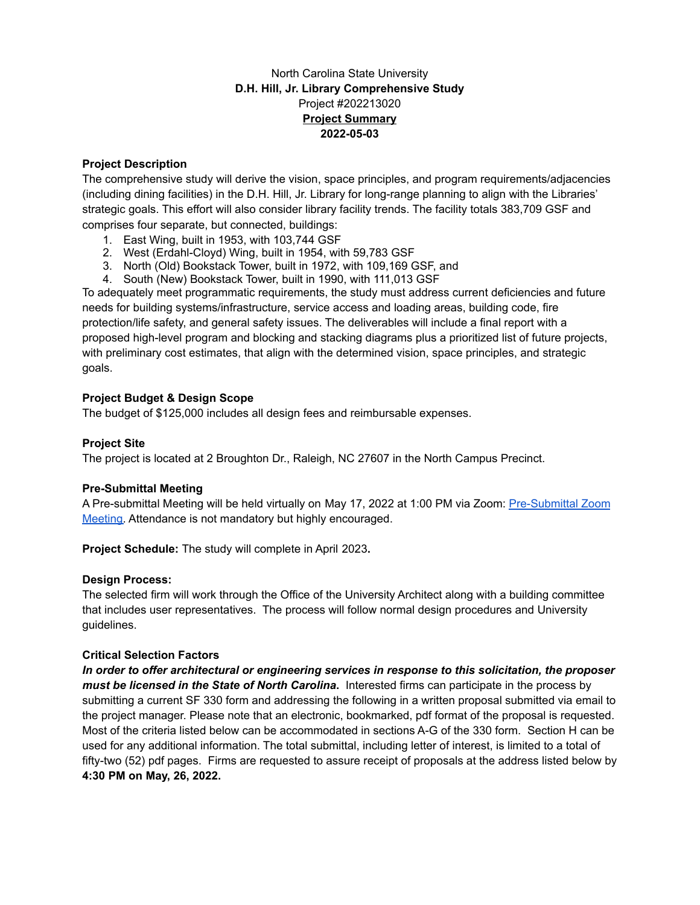# North Carolina State University **D.H. Hill, Jr. Library Comprehensive Study** Project #202213020 **Project Summary 2022-05-03**

# **Project Description**

The comprehensive study will derive the vision, space principles, and program requirements/adjacencies (including dining facilities) in the D.H. Hill, Jr. Library for long-range planning to align with the Libraries' strategic goals. This effort will also consider library facility trends. The facility totals 383,709 GSF and comprises four separate, but connected, buildings:

- 1. East Wing, built in 1953, with 103,744 GSF
- 2. West (Erdahl-Cloyd) Wing, built in 1954, with 59,783 GSF
- 3. North (Old) Bookstack Tower, built in 1972, with 109,169 GSF, and
- 4. South (New) Bookstack Tower, built in 1990, with 111,013 GSF

To adequately meet programmatic requirements, the study must address current deficiencies and future needs for building systems/infrastructure, service access and loading areas, building code, fire protection/life safety, and general safety issues. The deliverables will include a final report with a proposed high-level program and blocking and stacking diagrams plus a prioritized list of future projects, with preliminary cost estimates, that align with the determined vision, space principles, and strategic goals.

### **Project Budget & Design Scope**

The budget of \$125,000 includes all design fees and reimbursable expenses.

# **Project Site**

The project is located at 2 Broughton Dr., Raleigh, NC 27607 in the North Campus Precinct.

### **Pre-Submittal Meeting**

A Pre-submittal Meeting will be held virtually on May 17, 2022 at 1:00 PM via Zoom: [Pre-Submittal](https://applications.zoom.us/addon/invitation/detail?meetingUuid=P%2BtiEAxVQlWkATeJQwD3FA%3D%3D&signature=a61e82e17212ed1f1549e70e2e0f5382123779d3c06396cbe4ab2b4389508386&v=1) Zoom [Meeting.](https://applications.zoom.us/addon/invitation/detail?meetingUuid=P%2BtiEAxVQlWkATeJQwD3FA%3D%3D&signature=a61e82e17212ed1f1549e70e2e0f5382123779d3c06396cbe4ab2b4389508386&v=1) Attendance is not mandatory but highly encouraged.

**Project Schedule:** The study will complete in April 2023**.**

### **Design Process:**

The selected firm will work through the Office of the University Architect along with a building committee that includes user representatives. The process will follow normal design procedures and University guidelines.

### **Critical Selection Factors**

*In order to offer architectural or engineering services in response to this solicitation, the proposer must be licensed in the State of North Carolina***.** Interested firms can participate in the process by submitting a current SF 330 form and addressing the following in a written proposal submitted via email to the project manager. Please note that an electronic, bookmarked, pdf format of the proposal is requested. Most of the criteria listed below can be accommodated in sections A-G of the 330 form. Section H can be used for any additional information. The total submittal, including letter of interest, is limited to a total of fifty-two (52) pdf pages. Firms are requested to assure receipt of proposals at the address listed below by **4:30 PM on May, 26, 2022.**